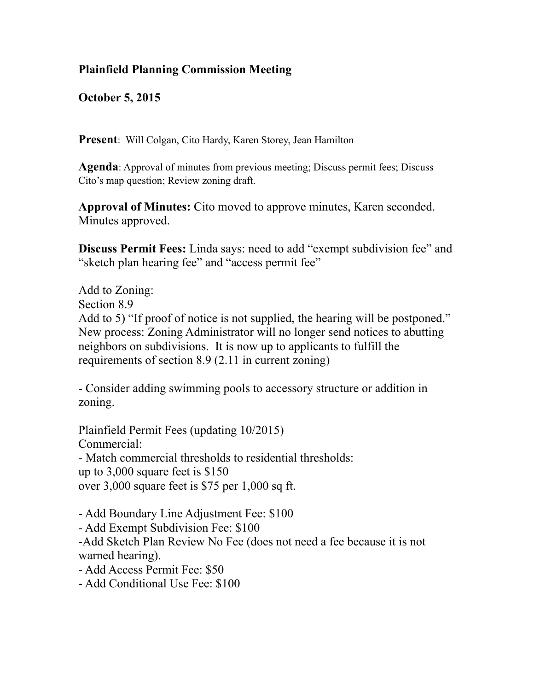## **Plainfield Planning Commission Meeting**

**October 5, 2015**

**Present**: Will Colgan, Cito Hardy, Karen Storey, Jean Hamilton

**Agenda**: Approval of minutes from previous meeting; Discuss permit fees; Discuss Cito's map question; Review zoning draft.

**Approval of Minutes:** Cito moved to approve minutes, Karen seconded. Minutes approved.

**Discuss Permit Fees:** Linda says: need to add "exempt subdivision fee" and "sketch plan hearing fee" and "access permit fee"

Add to Zoning: Section 8.9 Add to 5) "If proof of notice is not supplied, the hearing will be postponed." New process: Zoning Administrator will no longer send notices to abutting neighbors on subdivisions. It is now up to applicants to fulfill the requirements of section 8.9 (2.11 in current zoning)

- Consider adding swimming pools to accessory structure or addition in zoning.

Plainfield Permit Fees (updating 10/2015) Commercial: - Match commercial thresholds to residential thresholds: up to 3,000 square feet is \$150 over 3,000 square feet is \$75 per 1,000 sq ft.

- Add Boundary Line Adjustment Fee: \$100

- Add Exempt Subdivision Fee: \$100

-Add Sketch Plan Review No Fee (does not need a fee because it is not warned hearing).

- Add Access Permit Fee: \$50

- Add Conditional Use Fee: \$100